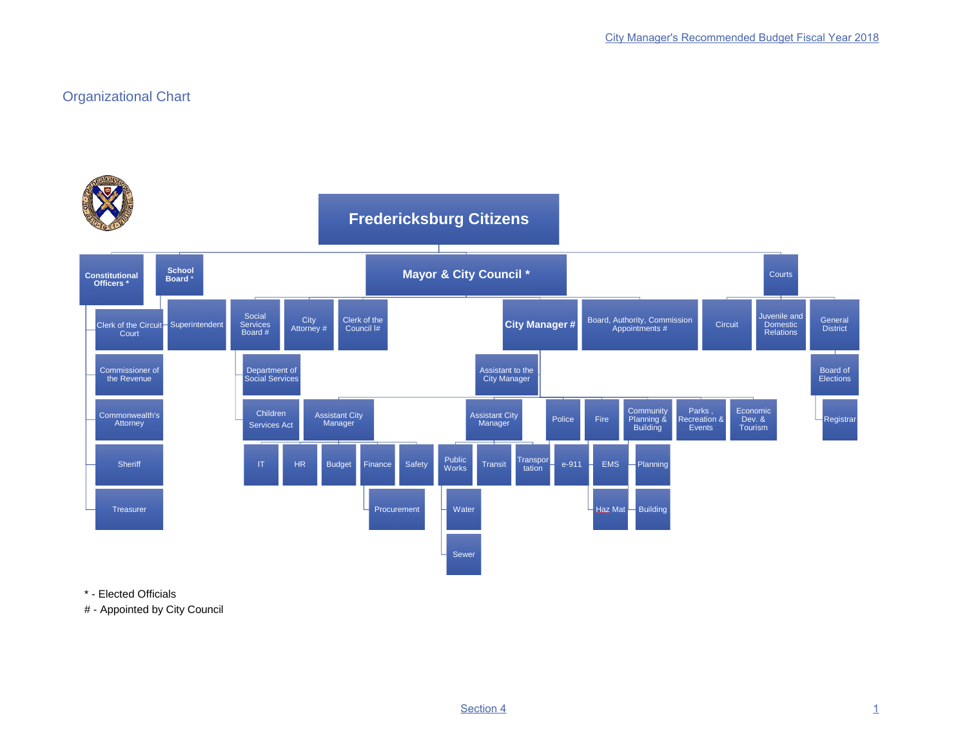## Organizational Chart



\* - Elected Officials

# - Appointed by City Council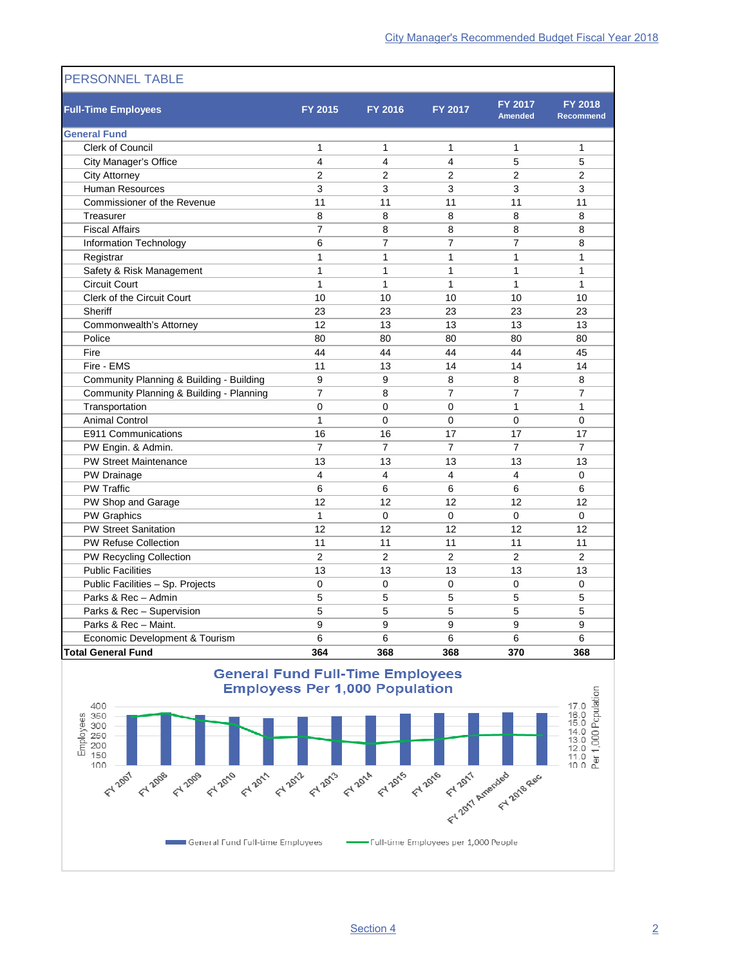| <b>Full-Time Employees</b>               | FY 2015                 | FY 2016        | FY 2017        | FY 2017<br><b>Amended</b> | <b>FY 2018</b><br><b>Recommend</b> |
|------------------------------------------|-------------------------|----------------|----------------|---------------------------|------------------------------------|
| <b>General Fund</b>                      |                         |                |                |                           |                                    |
| <b>Clerk of Council</b>                  | 1                       | 1              | $\mathbf{1}$   | $\mathbf{1}$              | 1                                  |
| City Manager's Office                    | $\overline{\mathbf{4}}$ | 4              | $\overline{4}$ | 5                         | 5                                  |
| <b>City Attorney</b>                     | $\overline{2}$          | $\overline{2}$ | $\overline{2}$ | $\overline{2}$            | $\overline{2}$                     |
| <b>Human Resources</b>                   | 3                       | 3              | 3              | 3                         | 3                                  |
| Commissioner of the Revenue              | 11                      | 11             | 11             | 11                        | 11                                 |
| Treasurer                                | 8                       | 8              | 8              | 8                         | 8                                  |
| <b>Fiscal Affairs</b>                    | $\overline{7}$          | 8              | 8              | 8                         | 8                                  |
| Information Technology                   | 6                       | $\overline{7}$ | $\overline{7}$ | $\overline{7}$            | 8                                  |
| Registrar                                | 1                       | 1              | $\mathbf{1}$   | 1                         | 1                                  |
| Safety & Risk Management                 | $\mathbf{1}$            | 1              | $\mathbf{1}$   | 1                         | 1                                  |
| <b>Circuit Court</b>                     | $\mathbf{1}$            | 1              | $\mathbf{1}$   | 1                         | $\mathbf{1}$                       |
| <b>Clerk of the Circuit Court</b>        | 10                      | 10             | 10             | 10                        | 10                                 |
| Sheriff                                  | 23                      | 23             | 23             | 23                        | 23                                 |
| Commonwealth's Attorney                  | 12                      | 13             | 13             | 13                        | 13                                 |
| Police                                   | 80                      | 80             | 80             | 80                        | 80                                 |
| Fire                                     | 44                      | 44             | 44             | 44                        | 45                                 |
| Fire - EMS                               | 11                      | 13             | 14             | 14                        | 14                                 |
| Community Planning & Building - Building | 9                       | 9              | 8              | 8                         | 8                                  |
| Community Planning & Building - Planning | $\overline{7}$          | 8              | $\overline{7}$ | $\overline{7}$            | $\overline{7}$                     |
| Transportation                           | $\overline{0}$          | $\Omega$       | $\Omega$       | $\mathbf{1}$              | $\mathbf{1}$                       |
| <b>Animal Control</b>                    | $\mathbf{1}$            | 0              | 0              | 0                         | $\mathbf 0$                        |
| E911 Communications                      | 16                      | 16             | 17             | 17                        | 17                                 |
| PW Engin. & Admin.                       | $\overline{7}$          | $\overline{7}$ | $\overline{7}$ | $\overline{7}$            | $\overline{7}$                     |
| <b>PW Street Maintenance</b>             | 13                      | 13             | 13             | 13                        | 13                                 |
| PW Drainage                              | $\overline{4}$          | 4              | $\overline{4}$ | 4                         | $\Omega$                           |
| <b>PW Traffic</b>                        | 6                       | 6              | 6              | 6                         | 6                                  |
| PW Shop and Garage                       | 12                      | 12             | 12             | 12                        | 12                                 |
| PW Graphics                              | $\mathbf{1}$            | $\mathbf 0$    | $\mathbf 0$    | $\mathbf 0$               | 0                                  |
| <b>PW Street Sanitation</b>              | 12                      | 12             | 12             | 12                        | 12                                 |
| PW Refuse Collection                     | 11                      | 11             | 11             | 11                        | 11                                 |
| PW Recycling Collection                  | $\overline{2}$          | $\overline{2}$ | $\overline{2}$ | $\overline{2}$            | $\overline{2}$                     |
| <b>Public Facilities</b>                 | 13                      | 13             | 13             | 13                        | 13                                 |
| Public Facilities - Sp. Projects         | 0                       | 0              | $\mathbf 0$    | $\mathbf 0$               | $\mathbf 0$                        |
| Parks & Rec - Admin                      | 5                       | 5              | 5              | 5                         | 5                                  |
| Parks & Rec - Supervision                | 5                       | 5              | 5              | 5                         | 5                                  |
| Parks & Rec - Maint.                     | 9                       | 9              | 9              | 9                         | 9                                  |
| Economic Development & Tourism           | 6                       | 6              | 6              | 6                         | 6                                  |
| <b>Total General Fund</b>                | 364                     | 368            | 368            | 370                       | 368                                |

## **PERSONNEL TABLE**